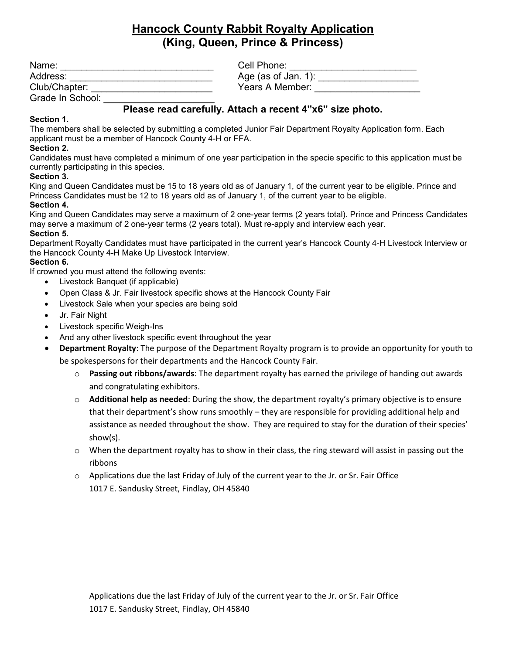# **Hancock County Rabbit Royalty Application (King, Queen, Prince & Princess)**

| Name:            | Cell Phone:         |
|------------------|---------------------|
| Address:         | Age (as of Jan. 1): |
| Club/Chapter:    | Years A Member:     |
| Grade In School: |                     |

# **Please read carefully. Attach a recent 4"x6" size photo.**

#### **Section 1.**

The members shall be selected by submitting a completed Junior Fair Department Royalty Application form. Each applicant must be a member of Hancock County 4-H or FFA.

#### **Section 2.**

Candidates must have completed a minimum of one year participation in the specie specific to this application must be currently participating in this species.

#### **Section 3.**

King and Queen Candidates must be 15 to 18 years old as of January 1, of the current year to be eligible. Prince and Princess Candidates must be 12 to 18 years old as of January 1, of the current year to be eligible. **Section 4.** 

### King and Queen Candidates may serve a maximum of 2 one-year terms (2 years total). Prince and Princess Candidates may serve a maximum of 2 one-year terms (2 years total). Must re-apply and interview each year.

#### **Section 5.**

Department Royalty Candidates must have participated in the current year's Hancock County 4-H Livestock Interview or the Hancock County 4-H Make Up Livestock Interview.

#### **Section 6.**

If crowned you must attend the following events:

- Livestock Banquet (if applicable)
- Open Class & Jr. Fair livestock specific shows at the Hancock County Fair
- Livestock Sale when your species are being sold
- Jr. Fair Night
- Livestock specific Weigh-Ins
- And any other livestock specific event throughout the year
- **Department Royalty**: The purpose of the Department Royalty program is to provide an opportunity for youth to be spokespersons for their departments and the Hancock County Fair.
	- o **Passing out ribbons/awards**: The department royalty has earned the privilege of handing out awards and congratulating exhibitors.
	- o **Additional help as needed**: During the show, the department royalty's primary objective is to ensure that their department's show runs smoothly – they are responsible for providing additional help and assistance as needed throughout the show. They are required to stay for the duration of their species' show(s).
	- $\circ$  When the department royalty has to show in their class, the ring steward will assist in passing out the ribbons
	- $\circ$  Applications due the last Friday of July of the current year to the Jr. or Sr. Fair Office 1017 E. Sandusky Street, Findlay, OH 45840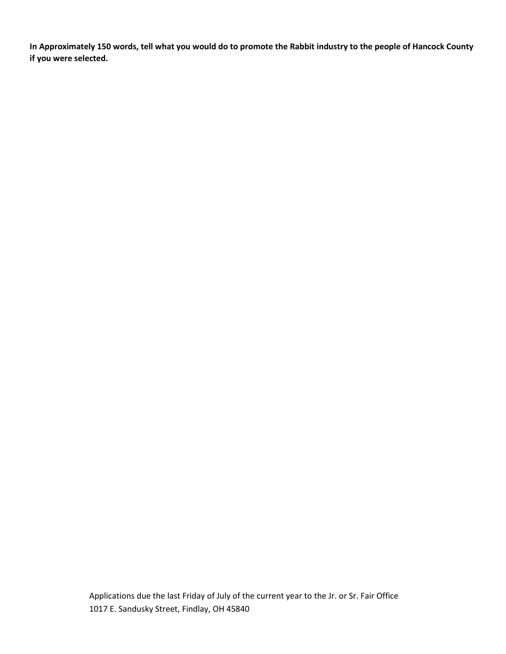**In Approximately 150 words, tell what you would do to promote the Rabbit industry to the people of Hancock County if you were selected.**